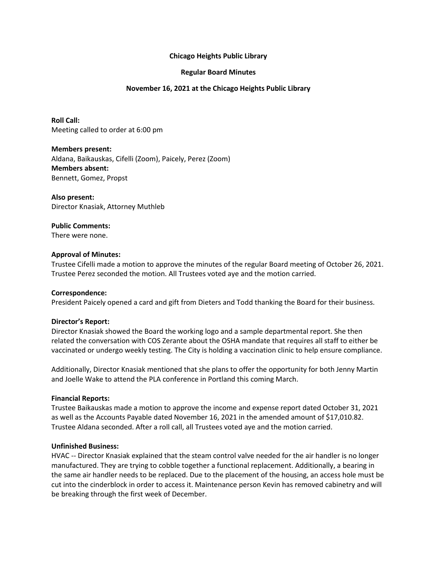# **Chicago Heights Public Library**

# **Regular Board Minutes**

# **November 16, 2021 at the Chicago Heights Public Library**

**Roll Call:** Meeting called to order at 6:00 pm

**Members present:** Aldana, Baikauskas, Cifelli (Zoom), Paicely, Perez (Zoom) **Members absent:** Bennett, Gomez, Propst

**Also present:** Director Knasiak, Attorney Muthleb

**Public Comments:**

There were none.

## **Approval of Minutes:**

Trustee Cifelli made a motion to approve the minutes of the regular Board meeting of October 26, 2021. Trustee Perez seconded the motion. All Trustees voted aye and the motion carried.

### **Correspondence:**

President Paicely opened a card and gift from Dieters and Todd thanking the Board for their business.

### **Director's Report:**

Director Knasiak showed the Board the working logo and a sample departmental report. She then related the conversation with COS Zerante about the OSHA mandate that requires all staff to either be vaccinated or undergo weekly testing. The City is holding a vaccination clinic to help ensure compliance.

Additionally, Director Knasiak mentioned that she plans to offer the opportunity for both Jenny Martin and Joelle Wake to attend the PLA conference in Portland this coming March.

### **Financial Reports:**

Trustee Baikauskas made a motion to approve the income and expense report dated October 31, 2021 as well as the Accounts Payable dated November 16, 2021 in the amended amount of \$17,010.82. Trustee Aldana seconded. After a roll call, all Trustees voted aye and the motion carried.

### **Unfinished Business:**

HVAC -- Director Knasiak explained that the steam control valve needed for the air handler is no longer manufactured. They are trying to cobble together a functional replacement. Additionally, a bearing in the same air handler needs to be replaced. Due to the placement of the housing, an access hole must be cut into the cinderblock in order to access it. Maintenance person Kevin has removed cabinetry and will be breaking through the first week of December.